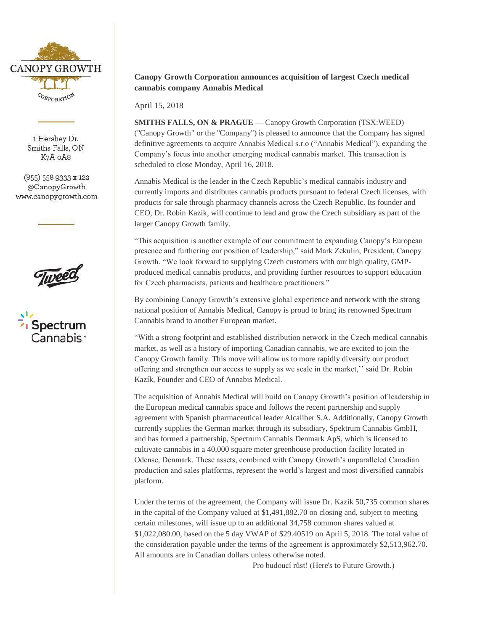

1 Hershey Dr. Smiths Falls, ON K7A OA8

 $(855)$  558 9333 x 122 @CanopyGrowth www.canopygrowth.com





## **Canopy Growth Corporation announces acquisition of largest Czech medical cannabis company Annabis Medical**

April 15, 2018

**SMITHS FALLS, ON & PRAGUE —** Canopy Growth Corporation (TSX:WEED) ("Canopy Growth" or the "Company") is pleased to announce that the Company has signed definitive agreements to acquire Annabis Medical s.r.o ("Annabis Medical"), expanding the Company's focus into another emerging medical cannabis market. This transaction is scheduled to close Monday, April 16, 2018.

Annabis Medical is the leader in the Czech Republic's medical cannabis industry and currently imports and distributes cannabis products pursuant to federal Czech licenses, with products for sale through pharmacy channels across the Czech Republic. Its founder and CEO, Dr. Robin Kazík, will continue to lead and grow the Czech subsidiary as part of the larger Canopy Growth family.

"This acquisition is another example of our commitment to expanding Canopy's European presence and furthering our position of leadership," said Mark Zekulin, President, Canopy Growth. "We look forward to supplying Czech customers with our high quality, GMPproduced medical cannabis products, and providing further resources to support education for Czech pharmacists, patients and healthcare practitioners."

By combining Canopy Growth's extensive global experience and network with the strong national position of Annabis Medical, Canopy is proud to bring its renowned Spectrum Cannabis brand to another European market.

"With a strong footprint and established distribution network in the Czech medical cannabis market, as well as a history of importing Canadian cannabis, we are excited to join the Canopy Growth family. This move will allow us to more rapidly diversify our product offering and strengthen our access to supply as we scale in the market,'' said Dr. Robin Kazík, Founder and CEO of Annabis Medical.

The acquisition of Annabis Medical will build on Canopy Growth's position of leadership in the European medical cannabis space and follows the recent partnership and supply agreement with Spanish pharmaceutical leader Alcaliber S.A. Additionally, Canopy Growth currently supplies the German market through its subsidiary, Spektrum Cannabis GmbH, and has formed a partnership, Spectrum Cannabis Denmark ApS, which is licensed to cultivate cannabis in a 40,000 square meter greenhouse production facility located in Odense, Denmark. These assets, combined with Canopy Growth's unparalleled Canadian production and sales platforms, represent the world's largest and most diversified cannabis platform.

Under the terms of the agreement, the Company will issue Dr. Kazík 50,735 common shares in the capital of the Company valued at \$1,491,882.70 on closing and, subject to meeting certain milestones, will issue up to an additional 34,758 common shares valued at \$1,022,080.00, based on the 5 day VWAP of \$29.40519 on April 5, 2018. The total value of the consideration payable under the terms of the agreement is approximately \$2,513,962.70. All amounts are in Canadian dollars unless otherwise noted.

Pro budoucí růst! (Here's to Future Growth.)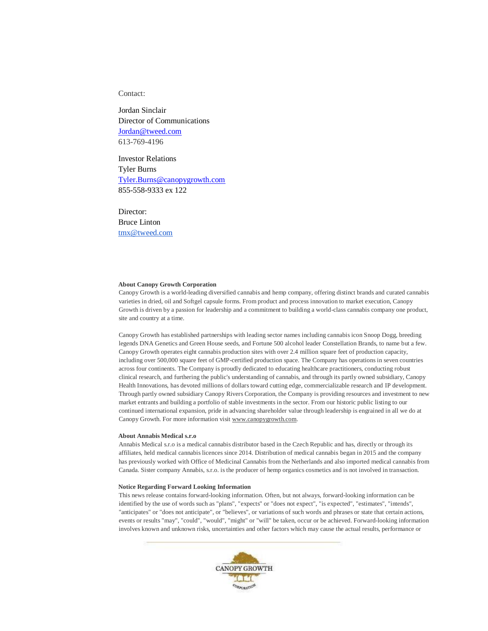Contact:

Jordan Sinclair Director of Communications [Jordan@tweed.com](mailto:Jordan@tweed.com) 613-769-4196

Investor Relations Tyler Burns [Tyler.Burns@canopygrowth.com](mailto:Tyler.Burns@canopygrowth.com) 855-558-9333 ex 122

Director: Bruce Linton [tmx@tweed.com](mailto:tmx@tweed.com)

## **About Canopy Growth Corporation**

Canopy Growth is a world-leading diversified cannabis and hemp company, offering distinct brands and curated cannabis varieties in dried, oil and Softgel capsule forms. From product and process innovation to market execution, Canopy Growth is driven by a passion for leadership and a commitment to building a world-class cannabis company one product, site and country at a time.

Canopy Growth has established partnerships with leading sector names including cannabis icon Snoop Dogg, breeding legends DNA Genetics and Green House seeds, and Fortune 500 alcohol leader Constellation Brands, to name but a few. Canopy Growth operates eight cannabis production sites with over 2.4 million square feet of production capacity, including over 500,000 square feet of GMP-certified production space. The Company has operations in seven countries across four continents. The Company is proudly dedicated to educating healthcare practitioners, conducting robust clinical research, and furthering the public's understanding of cannabis, and through its partly owned subsidiary, Canopy Health Innovations, has devoted millions of dollars toward cutting edge, commercializable research and IP development. Through partly owned subsidiary Canopy Rivers Corporation, the Company is providing resources and investment to new market entrants and building a portfolio of stable investments in the sector. From our historic public listing to our continued international expansion, pride in advancing shareholder value through leadership is engrained in all we do at Canopy Growth. For more information visit [www.canopygrowth.com.](http://www.canopygrowth.com/) 

## **About Annabis Medical s.r.o**

Annabis Medical s.r.o is a medical cannabis distributor based in the Czech Republic and has, directly or through its affiliates, held medical cannabis licences since 2014. Distribution of medical cannabis began in 2015 and the company has previously worked with Office of Medicinal Cannabis from the Netherlands and also imported medical cannabis from Canada. Sister company Annabis, s.r.o. is the producer of hemp organics cosmetics and is not involved in transaction.

## **Notice Regarding Forward Looking Information**

This news release contains forward-looking information. Often, but not always, forward-looking information can be identified by the use of words such as "plans", "expects" or "does not expect", "is expected", "estimates", "intends", "anticipates" or "does not anticipate", or "believes", or variations of such words and phrases or state that certain actions, events or results "may", "could", "would", "might" or "will" be taken, occur or be achieved. Forward-looking information involves known and unknown risks, uncertainties and other factors which may cause the actual results, performance or